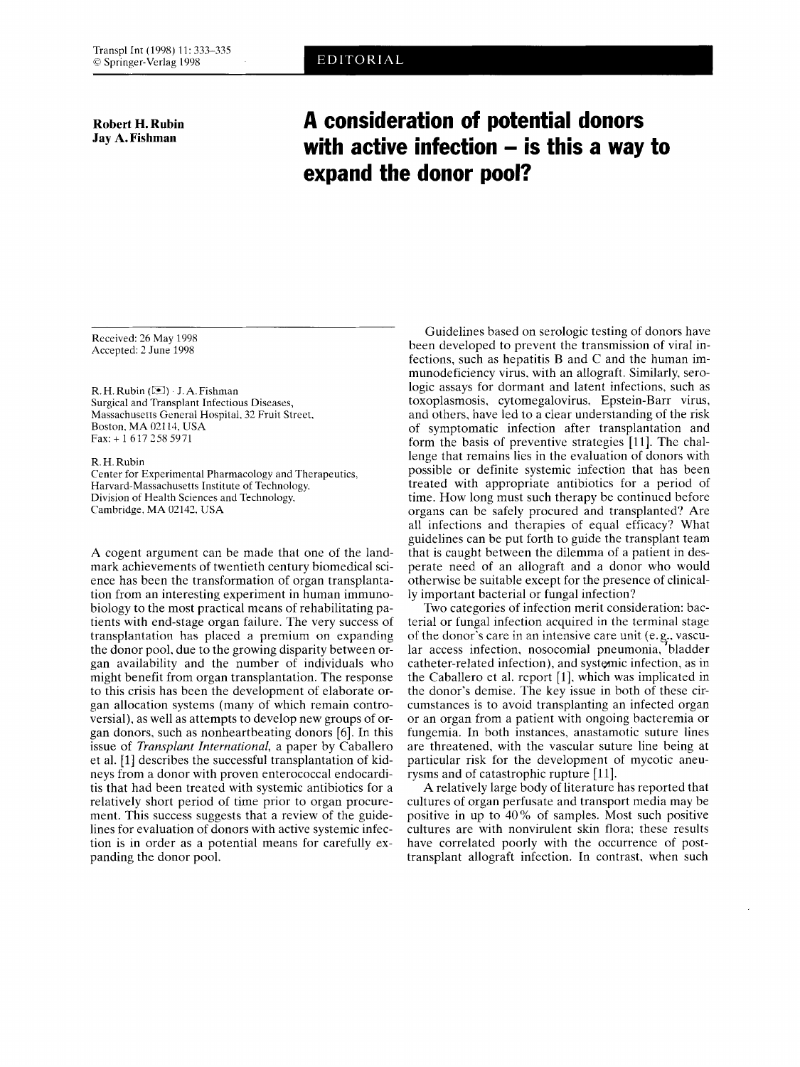**Robert H. Rubin Jay A. Fishman** 

## **A consideration of potential donors**  with active infection - is this a way to **expand the donor pool?**

Received: 26 May 1998 Accepted: 2 June 1998

 $R.H.Rubin$  ( $\Xi$ )  $\cdot$  J. A. Fishman Surgical and Transplant Infectious Diseases, Massachusetts General Hospital, *31* Fruit Street, Boston, MA *011* 14, **USA**  Fax: + 1 617 *158* 5971

## R. H. Rubin

Center for Experimental Pharmacology and Therapeutics, Harvard-Massachusetts Institute of Technology, Division of Health Sciences and Technology, Cambridge, MA 02142, USA

**A** cogent argument can be made that one of the landmark achievements of twentieth century biomedical science has been the transformation of organ transplantation from an interesting experiment in human immunobiology to the most practical means of rehabilitating patients with end-stage organ failure. The very success of transplantation has placed a premium on expanding the donor pool, due to the growing disparity between organ availability and the number of individuals who might benefit from organ transplantation. The response to this crisis has been the development of elaborate organ allocation systems (many of which remain controversial), as well as attempts to develop new groups of organ donors, such as nonheartbeating donors [6]. In this issue of *Transplant International,* a paper by Caballero et al. [l] describes the successful transplantation of kidneys from a donor with proven enterococcal endocarditis that had been treated with systemic antibiotics for a relatively short period of time prior to organ procurement. This success suggests that a review of the guidelines for evaluation of donors with active systemic infection is in order as a potential means for carefully expanding the donor pool.

Guidelines based on serologic testing of donors have been developed to prevent the transmission of viral infections, such as hepatitis B and C and the human immunodeficiency virus, with an allograft. Similarly, serologic assays for dormant and latent infections, such as toxoplasmosis, cytomegalovirus, Epstein-Barr virus, and others, have led to a clear understanding of the risk of symptomatic infection after transplantation and form the basis of preventive strategies [ll]. The challenge that remains lies in the evaluation of donors with possible or definite systemic infection that has been treated with appropriate antibiotics for a period of time. How long must such therapy be continued before organs can be safely procured and transplanted? Are all infections and therapies of equal efficacy? What guidelines can be put forth to guide the transplant team that is caught between the dilemma of a patient in desperate need of an allograft and a donor who would otherwise be suitable except for the presence of clinically important bacterial or fungal infection?

Two categories of infection merit consideration: bacterial or fungal infection acquired in the terminal stage of the donor's care in an intensive care unit (e.g., vascular access infection, nosocomial pneumonia, bladder catheter-related infection), and systemic infection, as in the Caballero et al. report [l], which was implicated in the donor's demise. The key issue in both of these circumstances is to avoid transplanting an infected organ or an organ from a patient with ongoing bacteremia or fungemia. In both instances, anastamotic suture lines are threatened, with the vascular suture line being at particular risk for the development of mycotic aneurysms and of catastrophic rupture [ll].

A relatively large body of literature has reported that cultures of organ perfusate and transport media may be positive in up to 40% of samples. Most such positive cultures are with nonvirulent skin flora: these results have correlated poorly with the occurrence of posttransplant allograft infection. In contrast, when such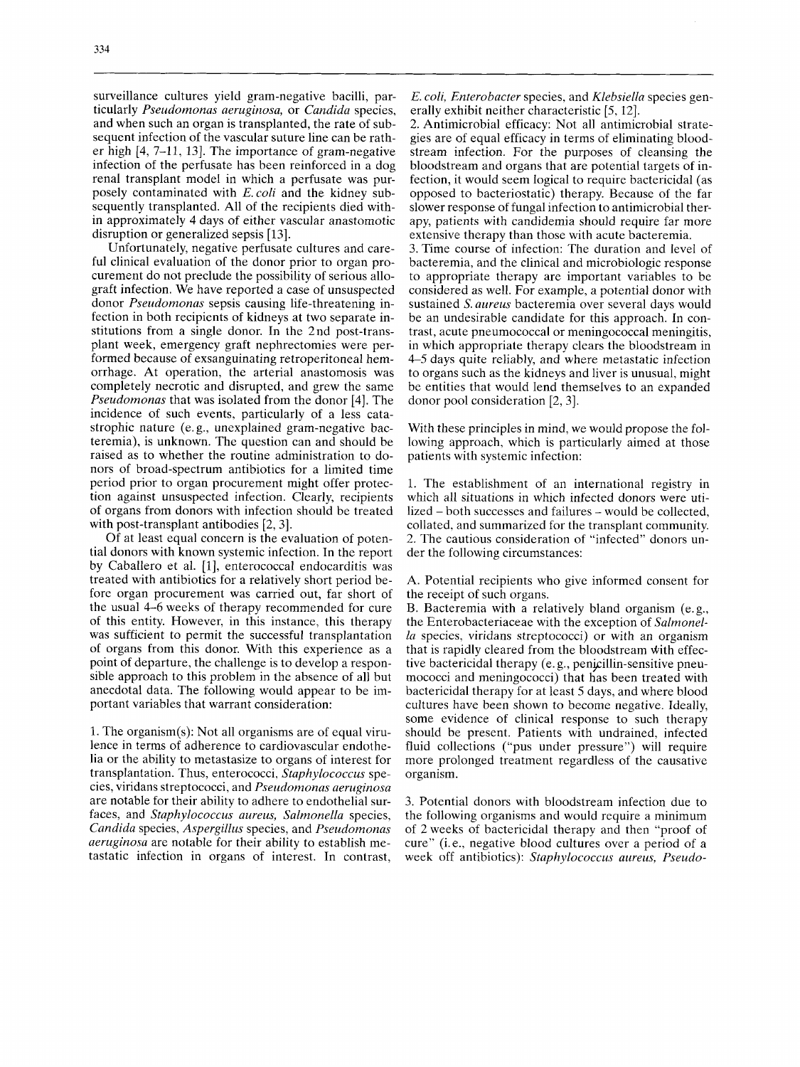surveillance cultures yield gram-negative bacilli, particularly *Pseudomonas aeruginosa,* or *Candida* species, and when such an organ is transplanted, the rate of subsequent infection of the vascular suture line can be rather high  $[4, 7-11, 13]$ . The importance of gram-negative infection of the perfusate has been reinforced in a dog renal transplant model in which a perfusate was purposely contaminated with *E. coli* and the kidney subsequently transplanted. All of the recipients died within approximately 4 days of either vascular anastomotic disruption or generalized sepsis [13].

Unfortunately, negative perfusate cultures and careful clinical evaluation of the donor prior to organ procurement do not preclude the possibility of serious allograft infection. We have reported a case of unsuspected donor *Pseudomonas* sepsis causing life-threatening infection in both recipients of kidneys at two separate institutions from a single donor. In the 2nd post-transplant week, emergency graft nephrectomies were performed because of exsanguinating retroperitoneal hemorrhage. At operation, the arterial anastomosis was completely necrotic and disrupted, and grew the same *Pseudomonas* that was isolated from the donor [4]. The incidence of such events, particularly of a less catastrophic nature (e. g., unexplained gram-negative bacteremia), is unknown. The question can and should be raised as to whether the routine administration to donors of broad-spectrum antibiotics for a limited time period prior to organ procurement might offer protection against unsuspected infection. Clearly, recipients of organs from donors with infection should be treated with post-transplant antibodies *[2,3].* 

Of at least equal concern is the evaluation of potential donors with known systemic infection. In the report by Caballero et al. [1], enterococcal endocarditis was treated with antibiotics for a relatively short period before organ procurement was carried out, far short of the usual 4-6 weeks of therapy recommended for cure of this entity. However, in this instance, this therapy was sufficient to permit the successful transplantation of organs from this donor. With this experience as a point of departure, the challenge is to develop a responsible approach to this problem in the absence of all but anecdotal data. The following would appear to be important variables that warrant consideration:

1. The organism(s): Not all organisms are of equal virulence in terms of adherence to cardiovascular endothelia or the ability to metastasize to organs of interest for transplantation. Thus, enterococci, *Staphylococcus* species, viridans streptococci, and *Pseudomonas aeruginosa*  are notable for their ability to adhere to endothelial surfaces, and *Staphylococcus aureus, Salmonella* species, *Candida* species, *Aspergillus* species, and *Pseudomonas aeruginosa* are notable for their ability to establish metastatic infection in organs of interest. In contrast,

*E. coli, Enterobacter* species, and *Klebsiella* species generally exhibit neither characteristic [5, 121.

2. Antimicrobial efficacy: Not all antimicrobial strategies are of equal efficacy in terms of eliminating bloodstream infection. For the purposes of cleansing the bloodstream and organs that are potential targets of infection, it would seem logical to require bactericidal (as opposed to bacteriostatic) therapy. Because of the far slower response of fungal infection to antimicrobial therapy, patients with candidemia should require far more extensive therapy than those with acute bacteremia.

*3.* Time course of infection: The duration and level of bacteremia, and the clinical and microbiologic response to appropriate therapy are important variables to be considered as well. For example, a potential donor with sustained *S. aureus* bacteremia over several days would be an undesirable candidate for this approach. In contrast, acute pneumococcal or meningococcal meningitis, in which appropriate therapy clears the bloodstream in 4-5 days quite reliably, and where metastatic infection to organs such as the kidneys and liver is unusual, might be entities that would lend themselves to an expanded donor pool consideration [2,3].

With these principles in mind, we would propose the following approach, which is particularly aimed at those patients with systemic infection:

1. The establishment of an international registry in which all situations in which infected donors were utilized -both successes and failures - would be collected, collated, and summarized for the transplant community. 2. The cautious consideration of "infected" donors under the following circumstances:

**A.** Potential recipients who give informed consent for the receipt of such organs.

B. Bacteremia with a relatively bland organism (e.g., the Enterobacteriaceae with the exception of *Salmonella* species, viridans streptococci) or with an organism that is rapidly cleared from the bloodstream with effective bactericidal therapy (e. g., penicillin-sensitive pneumococci and meningococci) that has been treated with bactericidal therapy for at least *5* days, and where blood cultures have been shown to become negative. Ideally, some evidence of clinical response to such therapy should be present. Patients with undrained, infected fluid collections ("pus under pressure") will require more prolonged treatment regardless of the causative organism.

*3.* Potential donors with bloodstream infection due to the following organisms and would require a minimum of *2* weeks of bactericidal therapy and then "proof of cure" (i.e., negative blood cultures over a period of a week off antibiotics): *Staphylococcus aureus, Pseudo-*